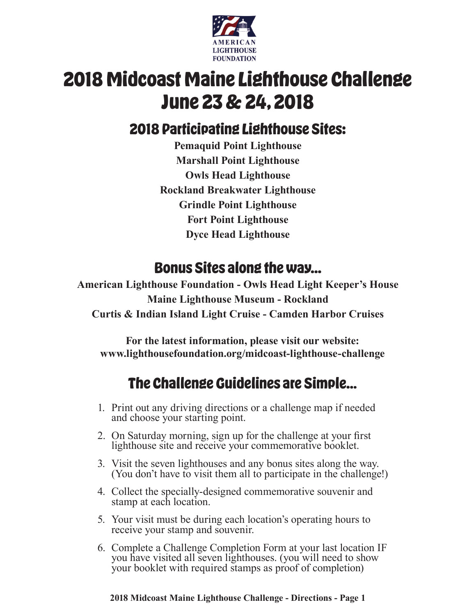

# **2018 Midcoast Maine Lighthouse Challenge June 23 & 24, 2018**

### **2018 Participating Lighthouse Sites:**

**Pemaquid Point Lighthouse Marshall Point Lighthouse Owls Head Lighthouse Rockland Breakwater Lighthouse Grindle Point Lighthouse Fort Point Lighthouse Dyce Head Lighthouse**

### **Bonus Sites along the way...**

**American Lighthouse Foundation - Owls Head Light Keeper's House Maine Lighthouse Museum - Rockland Curtis & Indian Island Light Cruise - Camden Harbor Cruises**

**For the latest information, please visit our website: www.lighthousefoundation.org/midcoast-lighthouse-challenge**

# **The Challenge Guidelines are Simple…**

- 1. Print out any driving directions or a challenge map if needed and choose your starting point.
- 2. On Saturday morning, sign up for the challenge at your first lighthouse site and receive your commemorative booklet.
- 3. Visit the seven lighthouses and any bonus sites along the way. (You don't have to visit them all to participate in the challenge!)
- 4. Collect the specially-designed commemorative souvenir and stamp at each location.
- 5. Your visit must be during each location's operating hours to receive your stamp and souvenir.
- 6. Complete a Challenge Completion Form at your last location IF you have visited all seven lighthouses. (you will need to show your booklet with required stamps as proof of completion)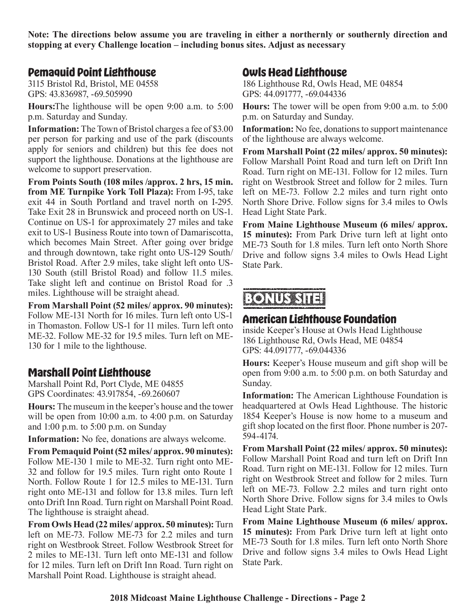**Note: The directions below assume you are traveling in either a northernly or southernly direction and stopping at every Challenge location – including bonus sites. Adjust as necessary**

#### **Pemaquid Point Lighthouse**

3115 Bristol Rd, Bristol, ME 04558 GPS: 43.836987, -69.505990

**Hours:**The lighthouse will be open 9:00 a.m. to 5:00 p.m. Saturday and Sunday.

**Information:** The Town of Bristol charges a fee of \$3.00 per person for parking and use of the park (discounts apply for seniors and children) but this fee does not support the lighthouse. Donations at the lighthouse are welcome to support preservation.

**From Points South (108 miles /approx. 2 hrs, 15 min. from ME Turnpike York Toll Plaza):** From I-95, take exit 44 in South Portland and travel north on I-295. Take Exit 28 in Brunswick and proceed north on US-1. Continue on US-1 for approximately 27 miles and take exit to US-1 Business Route into town of Damariscotta, which becomes Main Street. After going over bridge and through downtown, take right onto US-129 South/ Bristol Road. After 2.9 miles, take slight left onto US-130 South (still Bristol Road) and follow 11.5 miles. Take slight left and continue on Bristol Road for .3 miles. Lighthouse will be straight ahead.

**From Marshall Point (52 miles/ approx. 90 minutes):** Follow ME-131 North for 16 miles. Turn left onto US-1 in Thomaston. Follow US-1 for 11 miles. Turn left onto ME-32. Follow ME-32 for 19.5 miles. Turn left on ME-130 for 1 mile to the lighthouse.

#### **Marshall Point Lighthouse**

Marshall Point Rd, Port Clyde, ME 04855 GPS Coordinates: 43.917854, -69.260607

**Hours:** The museum in the keeper's house and the tower will be open from 10:00 a.m. to 4:00 p.m. on Saturday and 1:00 p.m. to 5:00 p.m. on Sunday

**Information:** No fee, donations are always welcome.

**From Pemaquid Point (52 miles/ approx. 90 minutes):**  Follow ME-130 1 mile to ME-32. Turn right onto ME-32 and follow for 19.5 miles. Turn right onto Route 1 North. Follow Route 1 for 12.5 miles to ME-131. Turn right onto ME-131 and follow for 13.8 miles. Turn left onto Drift Inn Road. Turn right on Marshall Point Road. The lighthouse is straight ahead.

**From Owls Head (22 miles/ approx. 50 minutes):** Turn left on ME-73. Follow ME-73 for 2.2 miles and turn right on Westbrook Street. Follow Westbrook Street for 2 miles to ME-131. Turn left onto ME-131 and follow for 12 miles. Turn left on Drift Inn Road. Turn right on Marshall Point Road. Lighthouse is straight ahead.

### **Owls Head Lighthouse**

186 Lighthouse Rd, Owls Head, ME 04854 GPS: 44.091777, -69.044336

**Hours:** The tower will be open from 9:00 a.m. to 5:00 p.m. on Saturday and Sunday.

**Information:** No fee, donations to support maintenance of the lighthouse are always welcome.

**From Marshall Point (22 miles/ approx. 50 minutes):**  Follow Marshall Point Road and turn left on Drift Inn Road. Turn right on ME-131. Follow for 12 miles. Turn right on Westbrook Street and follow for 2 miles. Turn left on ME-73. Follow 2.2 miles and turn right onto North Shore Drive. Follow signs for 3.4 miles to Owls Head Light State Park.

**From Maine Lighthouse Museum (6 miles/ approx. 15 minutes):** From Park Drive turn left at light onto ME-73 South for 1.8 miles. Turn left onto North Shore Drive and follow signs 3.4 miles to Owls Head Light State Park.

### **BONUS SIT**

#### **American Lighthouse Foundation**

inside Keeper's House at Owls Head Lighthouse 186 Lighthouse Rd, Owls Head, ME 04854 GPS: 44.091777, -69.044336

**Hours:** Keeper's House museum and gift shop will be open from 9:00 a.m. to 5:00 p.m. on both Saturday and Sunday.

**Information:** The American Lighthouse Foundation is headquartered at Owls Head Lighthouse. The historic 1854 Keeper's House is now home to a museum and gift shop located on the first floor. Phone number is 207- 594-4174.

**From Marshall Point (22 miles/ approx. 50 minutes):** Follow Marshall Point Road and turn left on Drift Inn Road. Turn right on ME-131. Follow for 12 miles. Turn right on Westbrook Street and follow for 2 miles. Turn left on ME-73. Follow 2.2 miles and turn right onto North Shore Drive. Follow signs for 3.4 miles to Owls Head Light State Park.

**From Maine Lighthouse Museum (6 miles/ approx. 15 minutes):** From Park Drive turn left at light onto ME-73 South for 1.8 miles. Turn left onto North Shore Drive and follow signs 3.4 miles to Owls Head Light State Park.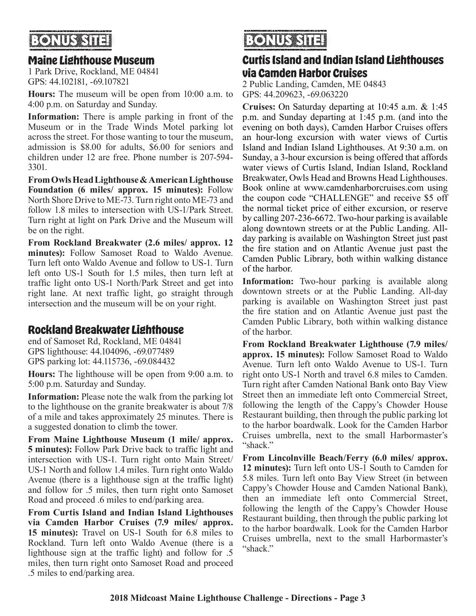# **RONIJS SH**

### **Maine Lighthouse Museum**

1 Park Drive, Rockland, ME 04841 GPS: 44.102181, -69.107821

**Hours:** The museum will be open from 10:00 a.m. to 4:00 p.m. on Saturday and Sunday.

**Information:** There is ample parking in front of the Museum or in the Trade Winds Motel parking lot across the street. For those wanting to tour the museum, admission is \$8.00 for adults, \$6.00 for seniors and children under 12 are free. Phone number is 207-594- 3301.

**From Owls Head Lighthouse & American Lighthouse Foundation (6 miles/ approx. 15 minutes):** Follow North Shore Drive to ME-73. Turn right onto ME-73 and follow 1.8 miles to intersection with US-1/Park Street. Turn right at light on Park Drive and the Museum will be on the right.

**From Rockland Breakwater (2.6 miles/ approx. 12 minutes):** Follow Samoset Road to Waldo Avenue. Turn left onto Waldo Avenue and follow to US-1. Turn left onto US-1 South for 1.5 miles, then turn left at traffic light onto US-1 North/Park Street and get into right lane. At next traffic light, go straight through intersection and the museum will be on your right.

### **Rockland Breakwater Lighthouse**

end of Samoset Rd, Rockland, ME 04841 GPS lighthouse: 44.104096, -69.077489 GPS parking lot: 44.115736, -69.084432

**Hours:** The lighthouse will be open from 9:00 a.m. to 5:00 p.m. Saturday and Sunday.

**Information:** Please note the walk from the parking lot to the lighthouse on the granite breakwater is about 7/8 of a mile and takes approximately 25 minutes. There is a suggested donation to climb the tower.

**From Maine Lighthouse Museum (1 mile/ approx. 5 minutes):** Follow Park Drive back to traffic light and intersection with US-1. Turn right onto Main Street/ US-1 North and follow 1.4 miles. Turn right onto Waldo Avenue (there is a lighthouse sign at the traffic light) and follow for .5 miles, then turn right onto Samoset Road and proceed .6 miles to end/parking area.

**From Curtis Island and Indian Island Lighthouses via Camden Harbor Cruises (7.9 miles/ approx. 15 minutes):** Travel on US-1 South for 6.8 miles to Rockland. Turn left onto Waldo Avenue (there is a lighthouse sign at the traffic light) and follow for .5 miles, then turn right onto Samoset Road and proceed .5 miles to end/parking area.

# **BONUS SITE!**

### **Curtis Island and Indian Island Lighthouses via Camden Harbor Cruises**

2 Public Landing, Camden, ME 04843 GPS: 44.209623, -69.063220

**Cruises:** On Saturday departing at 10:45 a.m. & 1:45 p.m. and Sunday departing at 1:45 p.m. (and into the evening on both days), Camden Harbor Cruises offers an hour-long excursion with water views of Curtis Island and Indian Island Lighthouses. At 9:30 a.m. on Sunday, a 3-hour excursion is being offered that affords water views of Curtis Island, Indian Island, Rockland Breakwater, Owls Head and Browns Head Lighthouses. Book online at www.camdenharborcruises.com using the coupon code "CHALLENGE" and receive \$5 off the normal ticket price of either excursion, or reserve by calling 207-236-6672. Two-hour parking is available along downtown streets or at the Public Landing. Allday parking is available on Washington Street just past the fire station and on Atlantic Avenue just past the Camden Public Library, both within walking distance of the harbor.

**Information:** Two-hour parking is available along downtown streets or at the Public Landing. All-day parking is available on Washington Street just past the fire station and on Atlantic Avenue just past the Camden Public Library, both within walking distance of the harbor.

**From Rockland Breakwater Lighthouse (7.9 miles/ approx. 15 minutes):** Follow Samoset Road to Waldo Avenue. Turn left onto Waldo Avenue to US-1. Turn right onto US-1 North and travel 6.8 miles to Camden. Turn right after Camden National Bank onto Bay View Street then an immediate left onto Commercial Street, following the length of the Cappy's Chowder House Restaurant building, then through the public parking lot to the harbor boardwalk. Look for the Camden Harbor Cruises umbrella, next to the small Harbormaster's "shack."

**From Lincolnville Beach/Ferry (6.0 miles/ approx. 12 minutes):** Turn left onto US-1 South to Camden for 5.8 miles. Turn left onto Bay View Street (in between Cappy's Chowder House and Camden National Bank), then an immediate left onto Commercial Street, following the length of the Cappy's Chowder House Restaurant building, then through the public parking lot to the harbor boardwalk. Look for the Camden Harbor Cruises umbrella, next to the small Harbormaster's "shack."